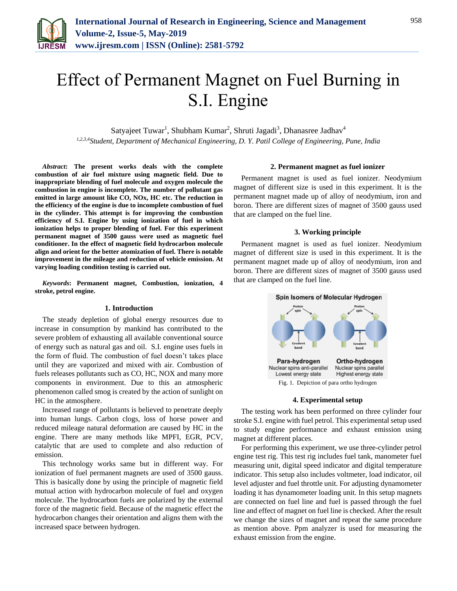

Satyajeet Tuwar<sup>1</sup>, Shubham Kumar<sup>2</sup>, Shruti Jagadi<sup>3</sup>, Dhanasree Jadhav<sup>4</sup> *1,2,3,4Student, Department of Mechanical Engineering, D. Y. Patil College of Engineering, Pune, India*

*Abstract***: The present works deals with the complete combustion of air fuel mixture using magnetic field. Due to inappropriate blending of fuel molecule and oxygen molecule the combustion in engine is incomplete. The number of pollutant gas emitted in large amount like CO, NOx, HC etc. The reduction in the efficiency of the engine is due to incomplete combustion of fuel in the cylinder. This attempt is for improving the combustion efficiency of S.I. Engine by using ionization of fuel in which ionization helps to proper blending of fuel. For this experiment permanent magnet of 3500 gauss were used as magnetic fuel conditioner. In the effect of magnetic field hydrocarbon molecule align and orient for the better atomization of fuel. There is notable improvement in the mileage and reduction of vehicle emission. At varying loading condition testing is carried out.** 

*Keywords***: Permanent magnet, Combustion, ionization, 4 stroke, petrol engine.**

## **1. Introduction**

The steady depletion of global energy resources due to increase in consumption by mankind has contributed to the severe problem of exhausting all available conventional source of energy such as natural gas and oil. S.I. engine uses fuels in the form of fluid. The combustion of fuel doesn't takes place until they are vaporized and mixed with air. Combustion of fuels releases pollutants such as CO, HC, NOX and many more components in environment. Due to this an atmospheric phenomenon called smog is created by the action of sunlight on HC in the atmosphere.

Increased range of pollutants is believed to penetrate deeply into human lungs. Carbon clogs, loss of horse power and reduced mileage natural deformation are caused by HC in the engine. There are many methods like MPFI, EGR, PCV, catalytic that are used to complete and also reduction of emission.

This technology works same but in different way. For ionization of fuel permanent magnets are used of 3500 gauss. This is basically done by using the principle of magnetic field mutual action with hydrocarbon molecule of fuel and oxygen molecule. The hydrocarbon fuels are polarized by the external force of the magnetic field. Because of the magnetic effect the hydrocarbon changes their orientation and aligns them with the increased space between hydrogen.

#### **2. Permanent magnet as fuel ionizer**

Permanent magnet is used as fuel ionizer. Neodymium magnet of different size is used in this experiment. It is the permanent magnet made up of alloy of neodymium, iron and boron. There are different sizes of magnet of 3500 gauss used that are clamped on the fuel line.

## **3. Working principle**

Permanent magnet is used as fuel ionizer. Neodymium magnet of different size is used in this experiment. It is the permanent magnet made up of alloy of neodymium, iron and boron. There are different sizes of magnet of 3500 gauss used that are clamped on the fuel line.



## **4. Experimental setup**

The testing work has been performed on three cylinder four stroke S.I. engine with fuel petrol. This experimental setup used to study engine performance and exhaust emission using magnet at different places.

For performing this experiment, we use three-cylinder petrol engine test rig. This test rig includes fuel tank, manometer fuel measuring unit, digital speed indicator and digital temperature indicator. This setup also includes voltmeter, load indicator, oil level adjuster and fuel throttle unit. For adjusting dynamometer loading it has dynamometer loading unit. In this setup magnets are connected on fuel line and fuel is passed through the fuel line and effect of magnet on fuel line is checked. After the result we change the sizes of magnet and repeat the same procedure as mention above. Ppm analyzer is used for measuring the exhaust emission from the engine.